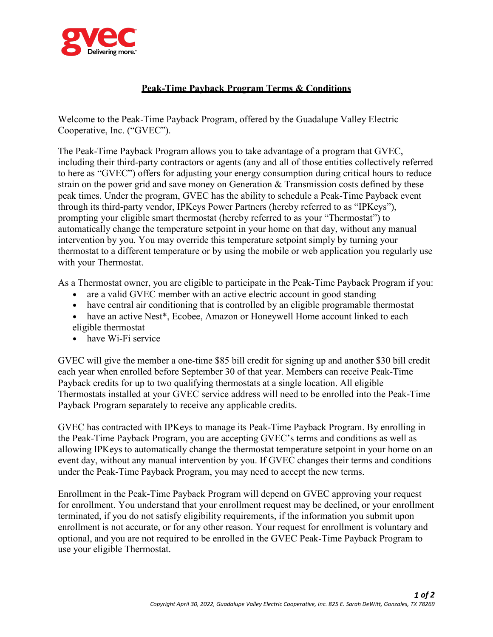

## **Peak-Time Payback Program Terms & Conditions**

Welcome to the Peak-Time Payback Program, offered by the Guadalupe Valley Electric Cooperative, Inc. ("GVEC").

The Peak-Time Payback Program allows you to take advantage of a program that GVEC, including their third-party contractors or agents (any and all of those entities collectively referred to here as "GVEC") offers for adjusting your energy consumption during critical hours to reduce strain on the power grid and save money on Generation & Transmission costs defined by these peak times. Under the program, GVEC has the ability to schedule a Peak-Time Payback event through its third-party vendor, IPKeys Power Partners (hereby referred to as "IPKeys"), prompting your eligible smart thermostat (hereby referred to as your "Thermostat") to automatically change the temperature setpoint in your home on that day, without any manual intervention by you. You may override this temperature setpoint simply by turning your thermostat to a different temperature or by using the mobile or web application you regularly use with your Thermostat.

As a Thermostat owner, you are eligible to participate in the Peak-Time Payback Program if you:

- are a valid GVEC member with an active electric account in good standing
- have central air conditioning that is controlled by an eligible programable thermostat
- have an active Nest\*, Ecobee, Amazon or Honeywell Home account linked to each eligible thermostat
- have Wi-Fi service

GVEC will give the member a one-time \$85 bill credit for signing up and another \$30 bill credit each year when enrolled before September 30 of that year. Members can receive Peak-Time Payback credits for up to two qualifying thermostats at a single location. All eligible Thermostats installed at your GVEC service address will need to be enrolled into the Peak-Time Payback Program separately to receive any applicable credits.

GVEC has contracted with IPKeys to manage its Peak-Time Payback Program. By enrolling in the Peak-Time Payback Program, you are accepting GVEC's terms and conditions as well as allowing IPKeys to automatically change the thermostat temperature setpoint in your home on an event day, without any manual intervention by you. If GVEC changes their terms and conditions under the Peak-Time Payback Program, you may need to accept the new terms.

Enrollment in the Peak-Time Payback Program will depend on GVEC approving your request for enrollment. You understand that your enrollment request may be declined, or your enrollment terminated, if you do not satisfy eligibility requirements, if the information you submit upon enrollment is not accurate, or for any other reason. Your request for enrollment is voluntary and optional, and you are not required to be enrolled in the GVEC Peak-Time Payback Program to use your eligible Thermostat.